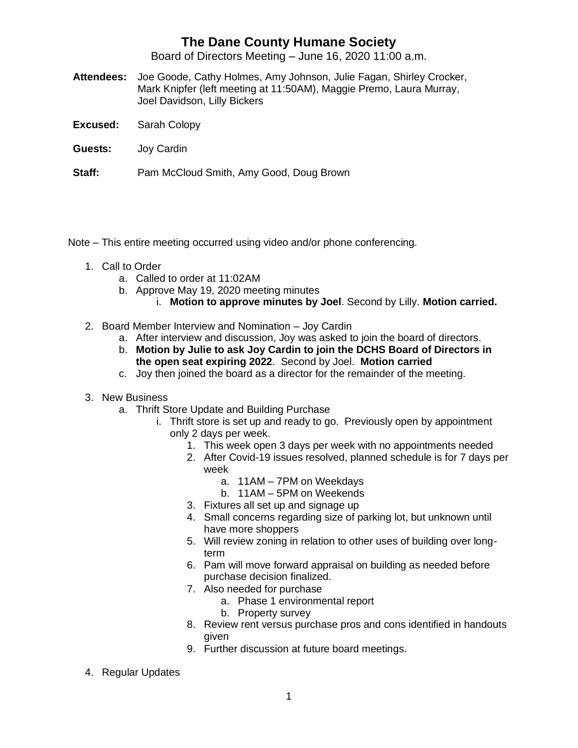## **The Dane County Humane Society**

Board of Directors Meeting – June 16, 2020 11:00 a.m.

- **Attendees:** Joe Goode, Cathy Holmes, Amy Johnson, Julie Fagan, Shirley Crocker, Mark Knipfer (left meeting at 11:50AM), Maggie Premo, Laura Murray, Joel Davidson, Lilly Bickers
- **Excused:** Sarah Colopy
- **Guests:** Joy Cardin

**Staff:** Pam McCloud Smith, Amy Good, Doug Brown

Note – This entire meeting occurred using video and/or phone conferencing.

- 1. Call to Order
	- a. Called to order at 11:02AM
	- b. Approve May 19, 2020 meeting minutes
		- i. **Motion to approve minutes by Joel**. Second by Lilly. **Motion carried.**
- 2. Board Member Interview and Nomination Joy Cardin
	- a. After interview and discussion, Joy was asked to join the board of directors.
	- b. **Motion by Julie to ask Joy Cardin to join the DCHS Board of Directors in the open seat expiring 2022**. Second by Joel. **Motion carried**
	- c. Joy then joined the board as a director for the remainder of the meeting.
- 3. New Business
	- a. Thrift Store Update and Building Purchase
		- i. Thrift store is set up and ready to go. Previously open by appointment only 2 days per week.
			- 1. This week open 3 days per week with no appointments needed
			- 2. After Covid-19 issues resolved, planned schedule is for 7 days per week
				- a. 11AM 7PM on Weekdays
				- b. 11AM 5PM on Weekends
			- 3. Fixtures all set up and signage up
			- 4. Small concerns regarding size of parking lot, but unknown until have more shoppers
			- 5. Will review zoning in relation to other uses of building over longterm
			- 6. Pam will move forward appraisal on building as needed before purchase decision finalized.
			- 7. Also needed for purchase
				- a. Phase 1 environmental report
				- b. Property survey
			- 8. Review rent versus purchase pros and cons identified in handouts given
			- 9. Further discussion at future board meetings.
- 4. Regular Updates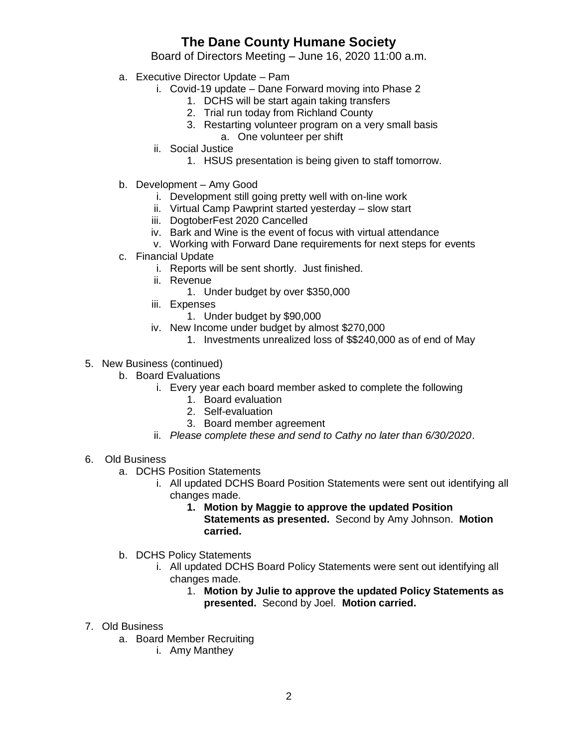## **The Dane County Humane Society**

Board of Directors Meeting – June 16, 2020 11:00 a.m.

- a. Executive Director Update Pam
	- i. Covid-19 update Dane Forward moving into Phase 2
		- 1. DCHS will be start again taking transfers
		- 2. Trial run today from Richland County
		- 3. Restarting volunteer program on a very small basis a. One volunteer per shift
	- ii. Social Justice
		- 1. HSUS presentation is being given to staff tomorrow.
- b. Development Amy Good
	- i. Development still going pretty well with on-line work
	- ii. Virtual Camp Pawprint started yesterday slow start
	- iii. DogtoberFest 2020 Cancelled
	- iv. Bark and Wine is the event of focus with virtual attendance
	- v. Working with Forward Dane requirements for next steps for events
- c. Financial Update
	- i. Reports will be sent shortly. Just finished.
	- ii. Revenue
		- 1. Under budget by over \$350,000
	- iii. Expenses
		- 1. Under budget by \$90,000
	- iv. New Income under budget by almost \$270,000
		- 1. Investments unrealized loss of \$\$240,000 as of end of May
- 5. New Business (continued)
	- b. Board Evaluations
		- i. Every year each board member asked to complete the following
			- 1. Board evaluation
			- 2. Self-evaluation
			- 3. Board member agreement
		- ii. *Please complete these and send to Cathy no later than 6/30/2020*.
- 6. Old Business
	- a. DCHS Position Statements
		- i. All updated DCHS Board Position Statements were sent out identifying all changes made.
			- **1. Motion by Maggie to approve the updated Position Statements as presented.** Second by Amy Johnson. **Motion carried.**
	- b. DCHS Policy Statements
		- i. All updated DCHS Board Policy Statements were sent out identifying all changes made.
			- 1. **Motion by Julie to approve the updated Policy Statements as presented.** Second by Joel. **Motion carried.**
- 7. Old Business
	- a. Board Member Recruiting
		- i. Amy Manthey